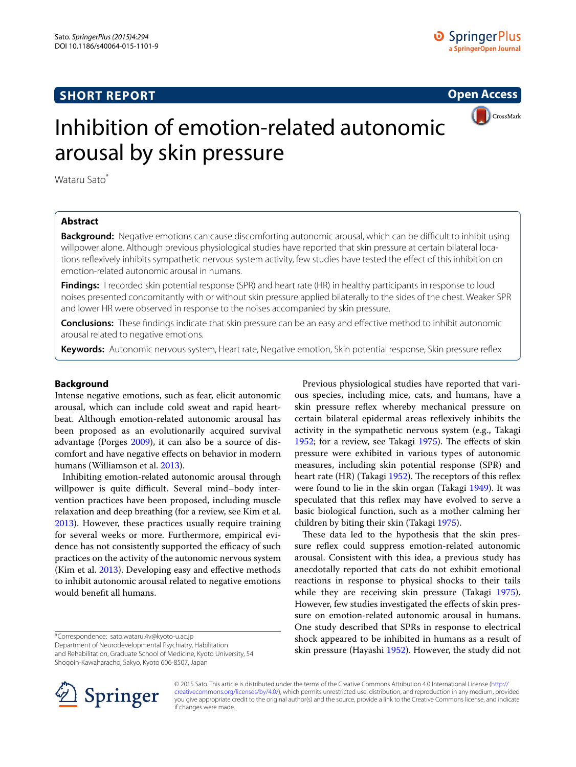# **SHORT REPORT**

**Open Access**



# Inhibition of emotion-related autonomic arousal by skin pressure

Wataru Sato<sup>\*</sup>

## **Abstract**

**Background:** Negative emotions can cause discomforting autonomic arousal, which can be difficult to inhibit using willpower alone. Although previous physiological studies have reported that skin pressure at certain bilateral locations reflexively inhibits sympathetic nervous system activity, few studies have tested the effect of this inhibition on emotion-related autonomic arousal in humans.

**Findings:** I recorded skin potential response (SPR) and heart rate (HR) in healthy participants in response to loud noises presented concomitantly with or without skin pressure applied bilaterally to the sides of the chest. Weaker SPR and lower HR were observed in response to the noises accompanied by skin pressure.

**Conclusions:** These findings indicate that skin pressure can be an easy and effective method to inhibit autonomic arousal related to negative emotions.

**Keywords:** Autonomic nervous system, Heart rate, Negative emotion, Skin potential response, Skin pressure reflex

#### **Background**

Intense negative emotions, such as fear, elicit autonomic arousal, which can include cold sweat and rapid heartbeat. Although emotion-related autonomic arousal has been proposed as an evolutionarily acquired survival advantage (Porges [2009](#page-3-0)), it can also be a source of discomfort and have negative effects on behavior in modern humans (Williamson et al. [2013\)](#page-3-1).

Inhibiting emotion-related autonomic arousal through willpower is quite difficult. Several mind–body intervention practices have been proposed, including muscle relaxation and deep breathing (for a review, see Kim et al. [2013](#page-3-2)). However, these practices usually require training for several weeks or more. Furthermore, empirical evidence has not consistently supported the efficacy of such practices on the activity of the autonomic nervous system (Kim et al. [2013](#page-3-2)). Developing easy and effective methods to inhibit autonomic arousal related to negative emotions would benefit all humans.

\*Correspondence: sato.wataru.4v@kyoto-u.ac.jp

Department of Neurodevelopmental Psychiatry, Habilitation and Rehabilitation, Graduate School of Medicine, Kyoto University, 54 Shogoin-Kawaharacho, Sakyo, Kyoto 606-8507, Japan

Previous physiological studies have reported that various species, including mice, cats, and humans, have a skin pressure reflex whereby mechanical pressure on certain bilateral epidermal areas reflexively inhibits the activity in the sympathetic nervous system (e.g., Takagi [1952](#page-3-3); for a review, see Takagi [1975](#page-3-4)). The effects of skin pressure were exhibited in various types of autonomic measures, including skin potential response (SPR) and heart rate (HR) (Takagi [1952\)](#page-3-3). The receptors of this reflex were found to lie in the skin organ (Takagi [1949](#page-3-5)). It was speculated that this reflex may have evolved to serve a basic biological function, such as a mother calming her children by biting their skin (Takagi [1975](#page-3-4)).

These data led to the hypothesis that the skin pressure reflex could suppress emotion-related autonomic arousal. Consistent with this idea, a previous study has anecdotally reported that cats do not exhibit emotional reactions in response to physical shocks to their tails while they are receiving skin pressure (Takagi [1975](#page-3-4)). However, few studies investigated the effects of skin pressure on emotion-related autonomic arousal in humans. One study described that SPRs in response to electrical shock appeared to be inhibited in humans as a result of skin pressure (Hayashi [1952\)](#page-3-6). However, the study did not



© 2015 Sato. This article is distributed under the terms of the Creative Commons Attribution 4.0 International License [\(http://](http://creativecommons.org/licenses/by/4.0/) [creativecommons.org/licenses/by/4.0/](http://creativecommons.org/licenses/by/4.0/)), which permits unrestricted use, distribution, and reproduction in any medium, provided you give appropriate credit to the original author(s) and the source, provide a link to the Creative Commons license, and indicate if changes were made.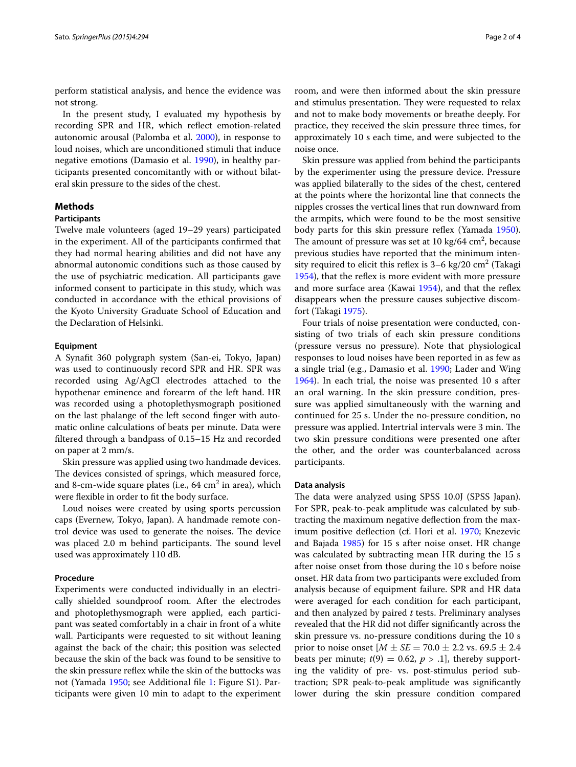perform statistical analysis, and hence the evidence was not strong.

In the present study, I evaluated my hypothesis by recording SPR and HR, which reflect emotion-related autonomic arousal (Palomba et al. [2000](#page-3-7)), in response to loud noises, which are unconditioned stimuli that induce negative emotions (Damasio et al. [1990\)](#page-3-8), in healthy participants presented concomitantly with or without bilateral skin pressure to the sides of the chest.

## **Methods**

#### **Participants**

Twelve male volunteers (aged 19–29 years) participated in the experiment. All of the participants confirmed that they had normal hearing abilities and did not have any abnormal autonomic conditions such as those caused by the use of psychiatric medication. All participants gave informed consent to participate in this study, which was conducted in accordance with the ethical provisions of the Kyoto University Graduate School of Education and the Declaration of Helsinki.

#### **Equipment**

A Synafit 360 polygraph system (San-ei, Tokyo, Japan) was used to continuously record SPR and HR. SPR was recorded using Ag/AgCl electrodes attached to the hypothenar eminence and forearm of the left hand. HR was recorded using a photoplethysmograph positioned on the last phalange of the left second finger with automatic online calculations of beats per minute. Data were filtered through a bandpass of 0.15–15 Hz and recorded on paper at 2 mm/s.

Skin pressure was applied using two handmade devices. The devices consisted of springs, which measured force, and 8-cm-wide square plates (i.e., 64  $\mathrm{cm}^2$  in area), which were flexible in order to fit the body surface.

Loud noises were created by using sports percussion caps (Evernew, Tokyo, Japan). A handmade remote control device was used to generate the noises. The device was placed 2.0 m behind participants. The sound level used was approximately 110 dB.

## **Procedure**

Experiments were conducted individually in an electrically shielded soundproof room. After the electrodes and photoplethysmograph were applied, each participant was seated comfortably in a chair in front of a white wall. Participants were requested to sit without leaning against the back of the chair; this position was selected because the skin of the back was found to be sensitive to the skin pressure reflex while the skin of the buttocks was not (Yamada [1950](#page-3-9); see Additional file [1:](#page-3-10) Figure S1). Participants were given 10 min to adapt to the experiment

room, and were then informed about the skin pressure and stimulus presentation. They were requested to relax and not to make body movements or breathe deeply. For practice, they received the skin pressure three times, for approximately 10 s each time, and were subjected to the noise once.

Skin pressure was applied from behind the participants by the experimenter using the pressure device. Pressure was applied bilaterally to the sides of the chest, centered at the points where the horizontal line that connects the nipples crosses the vertical lines that run downward from the armpits, which were found to be the most sensitive body parts for this skin pressure reflex (Yamada [1950](#page-3-9)). The amount of pressure was set at  $10 \text{ kg}/64 \text{ cm}^2$ , because previous studies have reported that the minimum intensity required to elicit this reflex is  $3-6$  kg/20 cm<sup>2</sup> (Takagi [1954](#page-3-11)), that the reflex is more evident with more pressure and more surface area (Kawai [1954\)](#page-3-12), and that the reflex disappears when the pressure causes subjective discomfort (Takagi [1975\)](#page-3-4).

Four trials of noise presentation were conducted, consisting of two trials of each skin pressure conditions (pressure versus no pressure). Note that physiological responses to loud noises have been reported in as few as a single trial (e.g., Damasio et al. [1990](#page-3-8); Lader and Wing [1964\)](#page-3-13). In each trial, the noise was presented 10 s after an oral warning. In the skin pressure condition, pressure was applied simultaneously with the warning and continued for 25 s. Under the no-pressure condition, no pressure was applied. Intertrial intervals were 3 min. The two skin pressure conditions were presented one after the other, and the order was counterbalanced across participants.

#### **Data analysis**

The data were analyzed using SPSS 10.0J (SPSS Japan). For SPR, peak-to-peak amplitude was calculated by subtracting the maximum negative deflection from the maximum positive deflection (cf. Hori et al. [1970](#page-3-14); Knezevic and Bajada [1985\)](#page-3-15) for 15 s after noise onset. HR change was calculated by subtracting mean HR during the 15 s after noise onset from those during the 10 s before noise onset. HR data from two participants were excluded from analysis because of equipment failure. SPR and HR data were averaged for each condition for each participant, and then analyzed by paired *t* tests. Preliminary analyses revealed that the HR did not differ significantly across the skin pressure vs. no-pressure conditions during the 10 s prior to noise onset  $[M \pm SE = 70.0 \pm 2.2 \text{ vs. } 69.5 \pm 2.4]$ beats per minute;  $t(9) = 0.62$ ,  $p > 0.1$ , thereby supporting the validity of pre- vs. post-stimulus period subtraction; SPR peak-to-peak amplitude was significantly lower during the skin pressure condition compared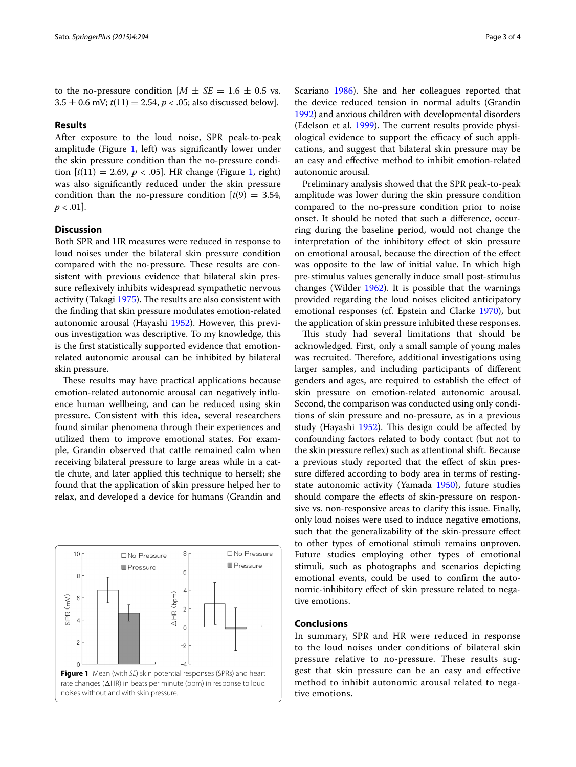to the no-pressure condition  $[M \pm SE = 1.6 \pm 0.5 \text{ vs.}$  $3.5 \pm 0.6$  mV;  $t(11) = 2.54$ ,  $p < .05$ ; also discussed below].

### **Results**

After exposure to the loud noise, SPR peak-to-peak amplitude (Figure [1,](#page-2-0) left) was significantly lower under the skin pressure condition than the no-pressure condition  $[t(11) = 2.69, p < .05]$ . HR change (Figure [1,](#page-2-0) right) was also significantly reduced under the skin pressure condition than the no-pressure condition  $[t(9) = 3.54]$ ,  $p < .01$ ].

## **Discussion**

Both SPR and HR measures were reduced in response to loud noises under the bilateral skin pressure condition compared with the no-pressure. These results are consistent with previous evidence that bilateral skin pressure reflexively inhibits widespread sympathetic nervous activity (Takagi [1975\)](#page-3-4). The results are also consistent with the finding that skin pressure modulates emotion-related autonomic arousal (Hayashi [1952](#page-3-6)). However, this previous investigation was descriptive. To my knowledge, this is the first statistically supported evidence that emotionrelated autonomic arousal can be inhibited by bilateral skin pressure.

These results may have practical applications because emotion-related autonomic arousal can negatively influence human wellbeing, and can be reduced using skin pressure. Consistent with this idea, several researchers found similar phenomena through their experiences and utilized them to improve emotional states. For example, Grandin observed that cattle remained calm when receiving bilateral pressure to large areas while in a cattle chute, and later applied this technique to herself; she found that the application of skin pressure helped her to relax, and developed a device for humans (Grandin and

<span id="page-2-0"></span>

Scariano [1986](#page-3-16)). She and her colleagues reported that the device reduced tension in normal adults (Grandin [1992](#page-3-17)) and anxious children with developmental disorders (Edelson et al. [1999](#page-3-18)). The current results provide physiological evidence to support the efficacy of such applications, and suggest that bilateral skin pressure may be an easy and effective method to inhibit emotion-related autonomic arousal.

Preliminary analysis showed that the SPR peak-to-peak amplitude was lower during the skin pressure condition compared to the no-pressure condition prior to noise onset. It should be noted that such a difference, occurring during the baseline period, would not change the interpretation of the inhibitory effect of skin pressure on emotional arousal, because the direction of the effect was opposite to the law of initial value. In which high pre-stimulus values generally induce small post-stimulus changes (Wilder [1962\)](#page-3-19). It is possible that the warnings provided regarding the loud noises elicited anticipatory emotional responses (cf. Epstein and Clarke [1970](#page-3-20)), but the application of skin pressure inhibited these responses.

This study had several limitations that should be acknowledged. First, only a small sample of young males was recruited. Therefore, additional investigations using larger samples, and including participants of different genders and ages, are required to establish the effect of skin pressure on emotion-related autonomic arousal. Second, the comparison was conducted using only conditions of skin pressure and no-pressure, as in a previous study (Hayashi [1952\)](#page-3-6). This design could be affected by confounding factors related to body contact (but not to the skin pressure reflex) such as attentional shift. Because a previous study reported that the effect of skin pressure differed according to body area in terms of restingstate autonomic activity (Yamada [1950\)](#page-3-9), future studies should compare the effects of skin-pressure on responsive vs. non-responsive areas to clarify this issue. Finally, only loud noises were used to induce negative emotions, such that the generalizability of the skin-pressure effect to other types of emotional stimuli remains unproven. Future studies employing other types of emotional stimuli, such as photographs and scenarios depicting emotional events, could be used to confirm the autonomic-inhibitory effect of skin pressure related to negative emotions.

## **Conclusions**

In summary, SPR and HR were reduced in response to the loud noises under conditions of bilateral skin pressure relative to no-pressure. These results suggest that skin pressure can be an easy and effective method to inhibit autonomic arousal related to negative emotions.